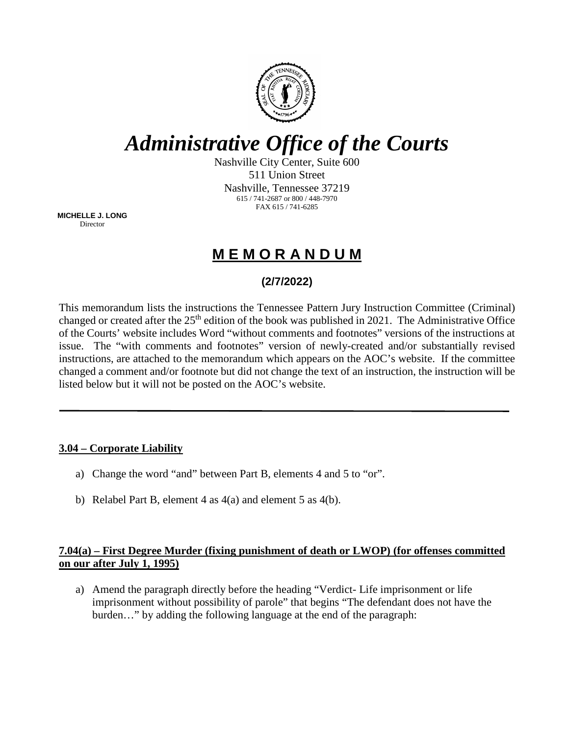

# *Administrative Office of the Courts*

Nashville City Center, Suite 600 511 Union Street Nashville, Tennessee 37219 615 / 741-2687 or 800 / 448-7970 FAX 615 / 741-6285

**MICHELLE J. LONG** Director

# **M E M O R A N D U M**

## **(2/7/2022)**

This memorandum lists the instructions the Tennessee Pattern Jury Instruction Committee (Criminal) changed or created after the  $25<sup>th</sup>$  edition of the book was published in 2021. The Administrative Office of the Courts' website includes Word "without comments and footnotes" versions of the instructions at issue. The "with comments and footnotes" version of newly-created and/or substantially revised instructions, are attached to the memorandum which appears on the AOC's website. If the committee changed a comment and/or footnote but did not change the text of an instruction, the instruction will be listed below but it will not be posted on the AOC's website.

#### **3.04 – Corporate Liability**

- a) Change the word "and" between Part B, elements 4 and 5 to "or".
- b) Relabel Part B, element 4 as 4(a) and element 5 as 4(b).

#### **7.04(a) – First Degree Murder (fixing punishment of death or LWOP) (for offenses committed on our after July 1, 1995)**

a) Amend the paragraph directly before the heading "Verdict- Life imprisonment or life imprisonment without possibility of parole" that begins "The defendant does not have the burden…" by adding the following language at the end of the paragraph: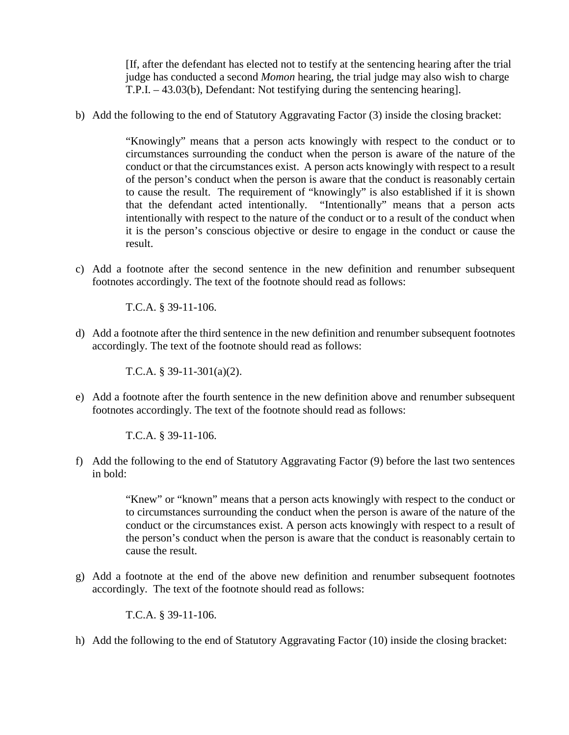[If, after the defendant has elected not to testify at the sentencing hearing after the trial judge has conducted a second *Momon* hearing, the trial judge may also wish to charge T.P.I. – 43.03(b), Defendant: Not testifying during the sentencing hearing].

b) Add the following to the end of Statutory Aggravating Factor (3) inside the closing bracket:

"Knowingly" means that a person acts knowingly with respect to the conduct or to circumstances surrounding the conduct when the person is aware of the nature of the conduct or that the circumstances exist. A person acts knowingly with respect to a result of the person's conduct when the person is aware that the conduct is reasonably certain to cause the result. The requirement of "knowingly" is also established if it is shown that the defendant acted intentionally. "Intentionally" means that a person acts intentionally with respect to the nature of the conduct or to a result of the conduct when it is the person's conscious objective or desire to engage in the conduct or cause the result.

c) Add a footnote after the second sentence in the new definition and renumber subsequent footnotes accordingly. The text of the footnote should read as follows:

T.C.A. § 39-11-106.

d) Add a footnote after the third sentence in the new definition and renumber subsequent footnotes accordingly. The text of the footnote should read as follows:

T.C.A. § 39-11-301(a)(2).

e) Add a footnote after the fourth sentence in the new definition above and renumber subsequent footnotes accordingly. The text of the footnote should read as follows:

T.C.A. § 39-11-106.

f) Add the following to the end of Statutory Aggravating Factor (9) before the last two sentences in bold:

> "Knew" or "known" means that a person acts knowingly with respect to the conduct or to circumstances surrounding the conduct when the person is aware of the nature of the conduct or the circumstances exist. A person acts knowingly with respect to a result of the person's conduct when the person is aware that the conduct is reasonably certain to cause the result.

g) Add a footnote at the end of the above new definition and renumber subsequent footnotes accordingly. The text of the footnote should read as follows:

T.C.A. § 39-11-106.

h) Add the following to the end of Statutory Aggravating Factor (10) inside the closing bracket: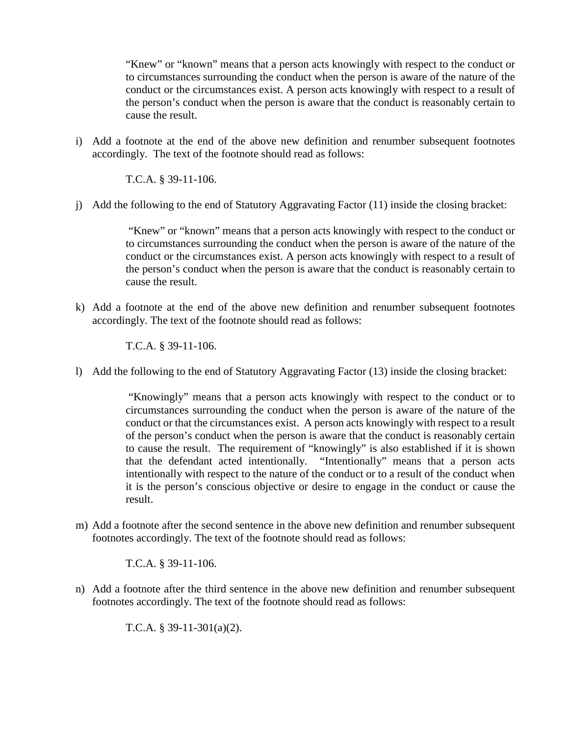"Knew" or "known" means that a person acts knowingly with respect to the conduct or to circumstances surrounding the conduct when the person is aware of the nature of the conduct or the circumstances exist. A person acts knowingly with respect to a result of the person's conduct when the person is aware that the conduct is reasonably certain to cause the result.

i) Add a footnote at the end of the above new definition and renumber subsequent footnotes accordingly. The text of the footnote should read as follows:

T.C.A. § 39-11-106.

j) Add the following to the end of Statutory Aggravating Factor (11) inside the closing bracket:

"Knew" or "known" means that a person acts knowingly with respect to the conduct or to circumstances surrounding the conduct when the person is aware of the nature of the conduct or the circumstances exist. A person acts knowingly with respect to a result of the person's conduct when the person is aware that the conduct is reasonably certain to cause the result.

k) Add a footnote at the end of the above new definition and renumber subsequent footnotes accordingly. The text of the footnote should read as follows:

T.C.A. § 39-11-106.

l) Add the following to the end of Statutory Aggravating Factor (13) inside the closing bracket:

"Knowingly" means that a person acts knowingly with respect to the conduct or to circumstances surrounding the conduct when the person is aware of the nature of the conduct or that the circumstances exist. A person acts knowingly with respect to a result of the person's conduct when the person is aware that the conduct is reasonably certain to cause the result. The requirement of "knowingly" is also established if it is shown that the defendant acted intentionally. "Intentionally" means that a person acts intentionally with respect to the nature of the conduct or to a result of the conduct when it is the person's conscious objective or desire to engage in the conduct or cause the result.

m) Add a footnote after the second sentence in the above new definition and renumber subsequent footnotes accordingly. The text of the footnote should read as follows:

T.C.A. § 39-11-106.

n) Add a footnote after the third sentence in the above new definition and renumber subsequent footnotes accordingly. The text of the footnote should read as follows:

T.C.A. § 39-11-301(a)(2).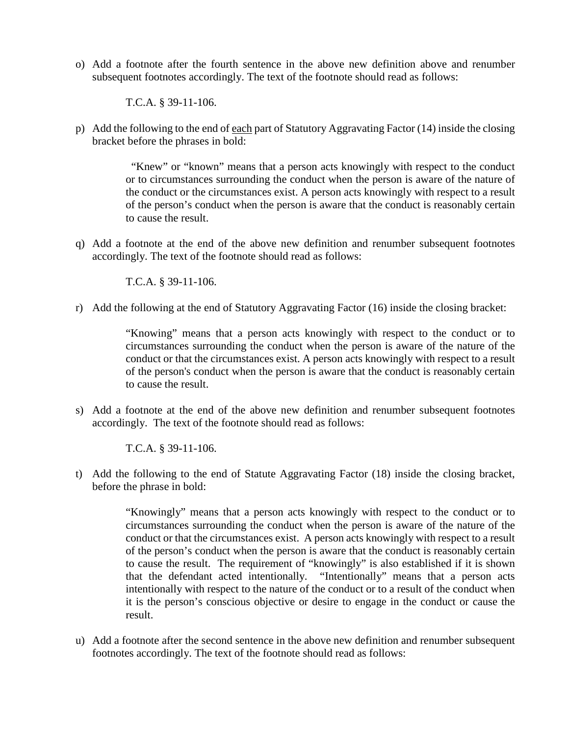o) Add a footnote after the fourth sentence in the above new definition above and renumber subsequent footnotes accordingly. The text of the footnote should read as follows:

T.C.A. § 39-11-106.

p) Add the following to the end of each part of Statutory Aggravating Factor (14) inside the closing bracket before the phrases in bold:

> "Knew" or "known" means that a person acts knowingly with respect to the conduct or to circumstances surrounding the conduct when the person is aware of the nature of the conduct or the circumstances exist. A person acts knowingly with respect to a result of the person's conduct when the person is aware that the conduct is reasonably certain to cause the result.

q) Add a footnote at the end of the above new definition and renumber subsequent footnotes accordingly. The text of the footnote should read as follows:

T.C.A. § 39-11-106.

r) Add the following at the end of Statutory Aggravating Factor (16) inside the closing bracket:

"Knowing" means that a person acts knowingly with respect to the conduct or to circumstances surrounding the conduct when the person is aware of the nature of the conduct or that the circumstances exist. A person acts knowingly with respect to a result of the person's conduct when the person is aware that the conduct is reasonably certain to cause the result.

s) Add a footnote at the end of the above new definition and renumber subsequent footnotes accordingly. The text of the footnote should read as follows:

T.C.A. § 39-11-106.

t) Add the following to the end of Statute Aggravating Factor (18) inside the closing bracket, before the phrase in bold:

> "Knowingly" means that a person acts knowingly with respect to the conduct or to circumstances surrounding the conduct when the person is aware of the nature of the conduct or that the circumstances exist. A person acts knowingly with respect to a result of the person's conduct when the person is aware that the conduct is reasonably certain to cause the result. The requirement of "knowingly" is also established if it is shown that the defendant acted intentionally. "Intentionally" means that a person acts intentionally with respect to the nature of the conduct or to a result of the conduct when it is the person's conscious objective or desire to engage in the conduct or cause the result.

u) Add a footnote after the second sentence in the above new definition and renumber subsequent footnotes accordingly. The text of the footnote should read as follows: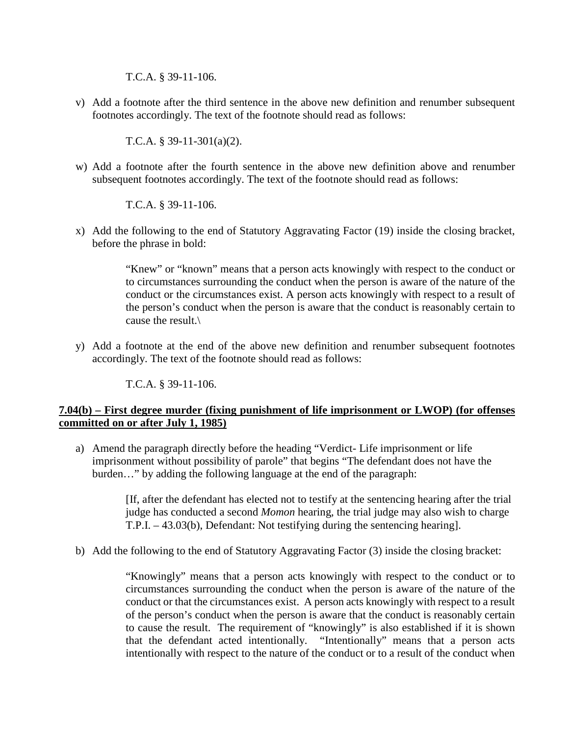T.C.A. § 39-11-106.

v) Add a footnote after the third sentence in the above new definition and renumber subsequent footnotes accordingly. The text of the footnote should read as follows:

T.C.A. § 39-11-301(a)(2).

w) Add a footnote after the fourth sentence in the above new definition above and renumber subsequent footnotes accordingly. The text of the footnote should read as follows:

T.C.A. § 39-11-106.

x) Add the following to the end of Statutory Aggravating Factor (19) inside the closing bracket, before the phrase in bold:

> "Knew" or "known" means that a person acts knowingly with respect to the conduct or to circumstances surrounding the conduct when the person is aware of the nature of the conduct or the circumstances exist. A person acts knowingly with respect to a result of the person's conduct when the person is aware that the conduct is reasonably certain to cause the result.\

y) Add a footnote at the end of the above new definition and renumber subsequent footnotes accordingly. The text of the footnote should read as follows:

T.C.A. § 39-11-106.

#### **7.04(b) – First degree murder (fixing punishment of life imprisonment or LWOP) (for offenses committed on or after July 1, 1985)**

a) Amend the paragraph directly before the heading "Verdict- Life imprisonment or life imprisonment without possibility of parole" that begins "The defendant does not have the burden…" by adding the following language at the end of the paragraph:

> [If, after the defendant has elected not to testify at the sentencing hearing after the trial judge has conducted a second *Momon* hearing, the trial judge may also wish to charge T.P.I. – 43.03(b), Defendant: Not testifying during the sentencing hearing].

b) Add the following to the end of Statutory Aggravating Factor (3) inside the closing bracket:

"Knowingly" means that a person acts knowingly with respect to the conduct or to circumstances surrounding the conduct when the person is aware of the nature of the conduct or that the circumstances exist. A person acts knowingly with respect to a result of the person's conduct when the person is aware that the conduct is reasonably certain to cause the result. The requirement of "knowingly" is also established if it is shown that the defendant acted intentionally. "Intentionally" means that a person acts intentionally with respect to the nature of the conduct or to a result of the conduct when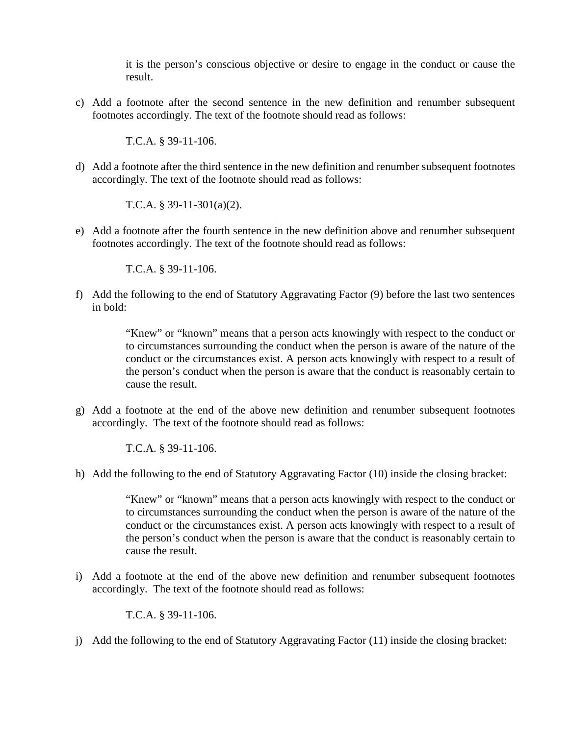it is the person's conscious objective or desire to engage in the conduct or cause the result.

c) Add a footnote after the second sentence in the new definition and renumber subsequent footnotes accordingly. The text of the footnote should read as follows:

T.C.A. § 39-11-106.

d) Add a footnote after the third sentence in the new definition and renumber subsequent footnotes accordingly. The text of the footnote should read as follows:

T.C.A. § 39-11-301(a)(2).

e) Add a footnote after the fourth sentence in the new definition above and renumber subsequent footnotes accordingly. The text of the footnote should read as follows:

T.C.A. § 39-11-106.

f) Add the following to the end of Statutory Aggravating Factor (9) before the last two sentences in bold:

> "Knew" or "known" means that a person acts knowingly with respect to the conduct or to circumstances surrounding the conduct when the person is aware of the nature of the conduct or the circumstances exist. A person acts knowingly with respect to a result of the person's conduct when the person is aware that the conduct is reasonably certain to cause the result.

g) Add a footnote at the end of the above new definition and renumber subsequent footnotes accordingly. The text of the footnote should read as follows:

T.C.A. § 39-11-106.

h) Add the following to the end of Statutory Aggravating Factor (10) inside the closing bracket:

"Knew" or "known" means that a person acts knowingly with respect to the conduct or to circumstances surrounding the conduct when the person is aware of the nature of the conduct or the circumstances exist. A person acts knowingly with respect to a result of the person's conduct when the person is aware that the conduct is reasonably certain to cause the result.

i) Add a footnote at the end of the above new definition and renumber subsequent footnotes accordingly. The text of the footnote should read as follows:

T.C.A. § 39-11-106.

j) Add the following to the end of Statutory Aggravating Factor (11) inside the closing bracket: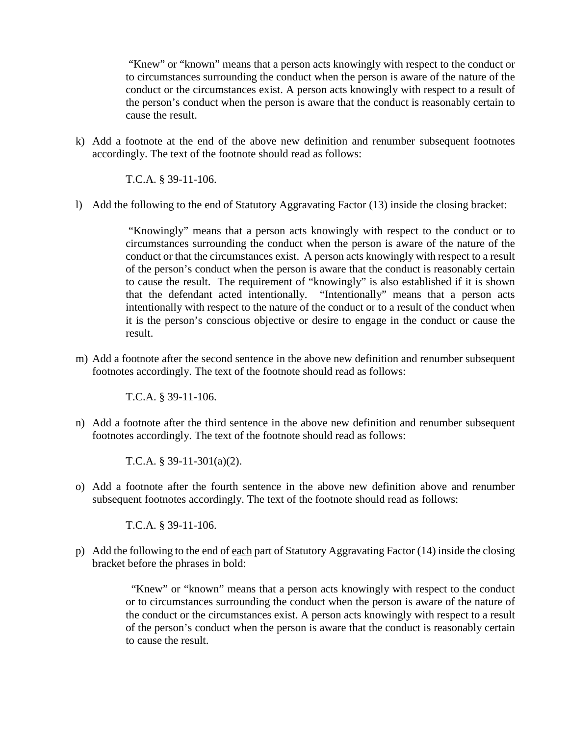"Knew" or "known" means that a person acts knowingly with respect to the conduct or to circumstances surrounding the conduct when the person is aware of the nature of the conduct or the circumstances exist. A person acts knowingly with respect to a result of the person's conduct when the person is aware that the conduct is reasonably certain to cause the result.

k) Add a footnote at the end of the above new definition and renumber subsequent footnotes accordingly. The text of the footnote should read as follows:

T.C.A. § 39-11-106.

l) Add the following to the end of Statutory Aggravating Factor (13) inside the closing bracket:

"Knowingly" means that a person acts knowingly with respect to the conduct or to circumstances surrounding the conduct when the person is aware of the nature of the conduct or that the circumstances exist. A person acts knowingly with respect to a result of the person's conduct when the person is aware that the conduct is reasonably certain to cause the result. The requirement of "knowingly" is also established if it is shown that the defendant acted intentionally. "Intentionally" means that a person acts intentionally with respect to the nature of the conduct or to a result of the conduct when it is the person's conscious objective or desire to engage in the conduct or cause the result.

m) Add a footnote after the second sentence in the above new definition and renumber subsequent footnotes accordingly. The text of the footnote should read as follows:

T.C.A. § 39-11-106.

n) Add a footnote after the third sentence in the above new definition and renumber subsequent footnotes accordingly. The text of the footnote should read as follows:

T.C.A. § 39-11-301(a)(2).

o) Add a footnote after the fourth sentence in the above new definition above and renumber subsequent footnotes accordingly. The text of the footnote should read as follows:

T.C.A. § 39-11-106.

p) Add the following to the end of each part of Statutory Aggravating Factor (14) inside the closing bracket before the phrases in bold:

> "Knew" or "known" means that a person acts knowingly with respect to the conduct or to circumstances surrounding the conduct when the person is aware of the nature of the conduct or the circumstances exist. A person acts knowingly with respect to a result of the person's conduct when the person is aware that the conduct is reasonably certain to cause the result.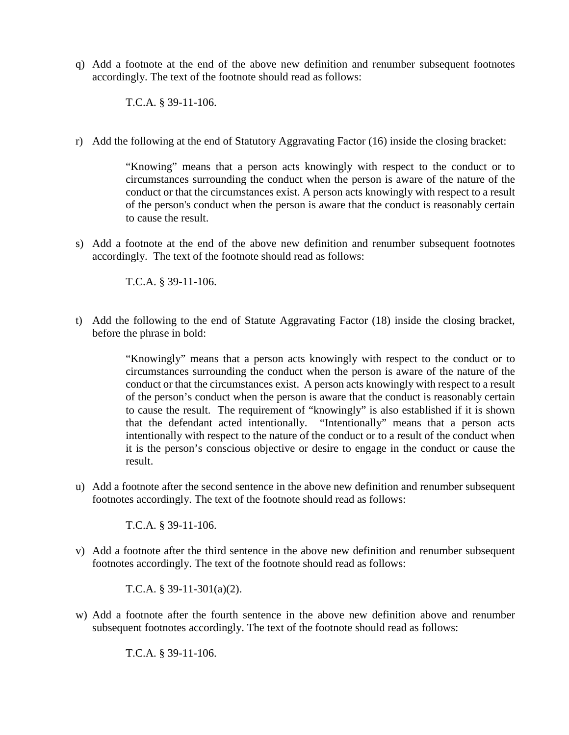q) Add a footnote at the end of the above new definition and renumber subsequent footnotes accordingly. The text of the footnote should read as follows:

T.C.A. § 39-11-106.

r) Add the following at the end of Statutory Aggravating Factor (16) inside the closing bracket:

"Knowing" means that a person acts knowingly with respect to the conduct or to circumstances surrounding the conduct when the person is aware of the nature of the conduct or that the circumstances exist. A person acts knowingly with respect to a result of the person's conduct when the person is aware that the conduct is reasonably certain to cause the result.

s) Add a footnote at the end of the above new definition and renumber subsequent footnotes accordingly. The text of the footnote should read as follows:

T.C.A. § 39-11-106.

t) Add the following to the end of Statute Aggravating Factor (18) inside the closing bracket, before the phrase in bold:

> "Knowingly" means that a person acts knowingly with respect to the conduct or to circumstances surrounding the conduct when the person is aware of the nature of the conduct or that the circumstances exist. A person acts knowingly with respect to a result of the person's conduct when the person is aware that the conduct is reasonably certain to cause the result. The requirement of "knowingly" is also established if it is shown that the defendant acted intentionally. "Intentionally" means that a person acts intentionally with respect to the nature of the conduct or to a result of the conduct when it is the person's conscious objective or desire to engage in the conduct or cause the result.

u) Add a footnote after the second sentence in the above new definition and renumber subsequent footnotes accordingly. The text of the footnote should read as follows:

T.C.A. § 39-11-106.

v) Add a footnote after the third sentence in the above new definition and renumber subsequent footnotes accordingly. The text of the footnote should read as follows:

T.C.A. § 39-11-301(a)(2).

w) Add a footnote after the fourth sentence in the above new definition above and renumber subsequent footnotes accordingly. The text of the footnote should read as follows:

T.C.A. § 39-11-106.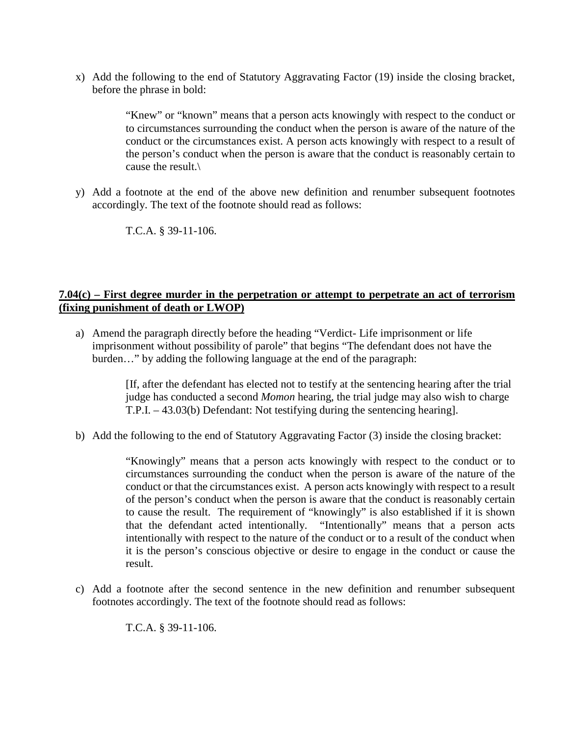x) Add the following to the end of Statutory Aggravating Factor (19) inside the closing bracket, before the phrase in bold:

> "Knew" or "known" means that a person acts knowingly with respect to the conduct or to circumstances surrounding the conduct when the person is aware of the nature of the conduct or the circumstances exist. A person acts knowingly with respect to a result of the person's conduct when the person is aware that the conduct is reasonably certain to cause the result.\

y) Add a footnote at the end of the above new definition and renumber subsequent footnotes accordingly. The text of the footnote should read as follows:

T.C.A. § 39-11-106.

#### **7.04(c) – First degree murder in the perpetration or attempt to perpetrate an act of terrorism (fixing punishment of death or LWOP)**

a) Amend the paragraph directly before the heading "Verdict- Life imprisonment or life imprisonment without possibility of parole" that begins "The defendant does not have the burden…" by adding the following language at the end of the paragraph:

> [If, after the defendant has elected not to testify at the sentencing hearing after the trial judge has conducted a second *Momon* hearing, the trial judge may also wish to charge T.P.I. – 43.03(b) Defendant: Not testifying during the sentencing hearing].

b) Add the following to the end of Statutory Aggravating Factor (3) inside the closing bracket:

"Knowingly" means that a person acts knowingly with respect to the conduct or to circumstances surrounding the conduct when the person is aware of the nature of the conduct or that the circumstances exist. A person acts knowingly with respect to a result of the person's conduct when the person is aware that the conduct is reasonably certain to cause the result. The requirement of "knowingly" is also established if it is shown that the defendant acted intentionally. "Intentionally" means that a person acts intentionally with respect to the nature of the conduct or to a result of the conduct when it is the person's conscious objective or desire to engage in the conduct or cause the result.

c) Add a footnote after the second sentence in the new definition and renumber subsequent footnotes accordingly. The text of the footnote should read as follows:

T.C.A. § 39-11-106.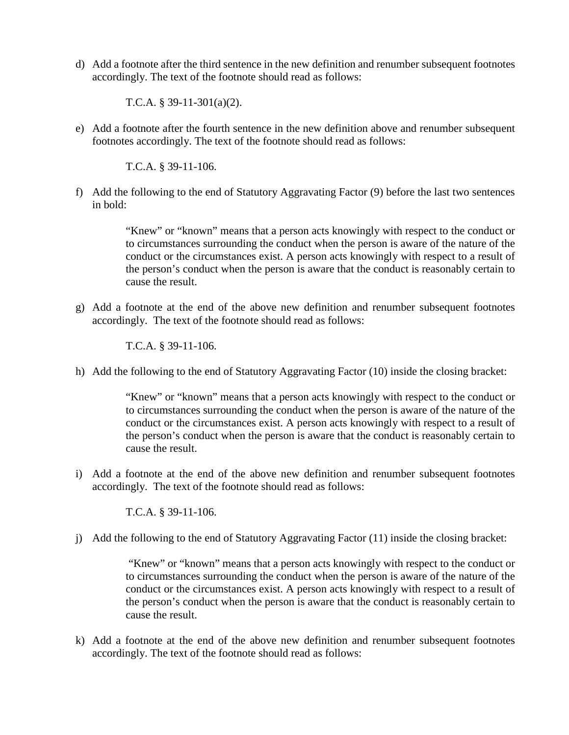d) Add a footnote after the third sentence in the new definition and renumber subsequent footnotes accordingly. The text of the footnote should read as follows:

T.C.A. § 39-11-301(a)(2).

e) Add a footnote after the fourth sentence in the new definition above and renumber subsequent footnotes accordingly. The text of the footnote should read as follows:

T.C.A. § 39-11-106.

f) Add the following to the end of Statutory Aggravating Factor (9) before the last two sentences in bold:

> "Knew" or "known" means that a person acts knowingly with respect to the conduct or to circumstances surrounding the conduct when the person is aware of the nature of the conduct or the circumstances exist. A person acts knowingly with respect to a result of the person's conduct when the person is aware that the conduct is reasonably certain to cause the result.

g) Add a footnote at the end of the above new definition and renumber subsequent footnotes accordingly. The text of the footnote should read as follows:

T.C.A. § 39-11-106.

h) Add the following to the end of Statutory Aggravating Factor (10) inside the closing bracket:

"Knew" or "known" means that a person acts knowingly with respect to the conduct or to circumstances surrounding the conduct when the person is aware of the nature of the conduct or the circumstances exist. A person acts knowingly with respect to a result of the person's conduct when the person is aware that the conduct is reasonably certain to cause the result.

i) Add a footnote at the end of the above new definition and renumber subsequent footnotes accordingly. The text of the footnote should read as follows:

T.C.A. § 39-11-106.

j) Add the following to the end of Statutory Aggravating Factor (11) inside the closing bracket:

"Knew" or "known" means that a person acts knowingly with respect to the conduct or to circumstances surrounding the conduct when the person is aware of the nature of the conduct or the circumstances exist. A person acts knowingly with respect to a result of the person's conduct when the person is aware that the conduct is reasonably certain to cause the result.

k) Add a footnote at the end of the above new definition and renumber subsequent footnotes accordingly. The text of the footnote should read as follows: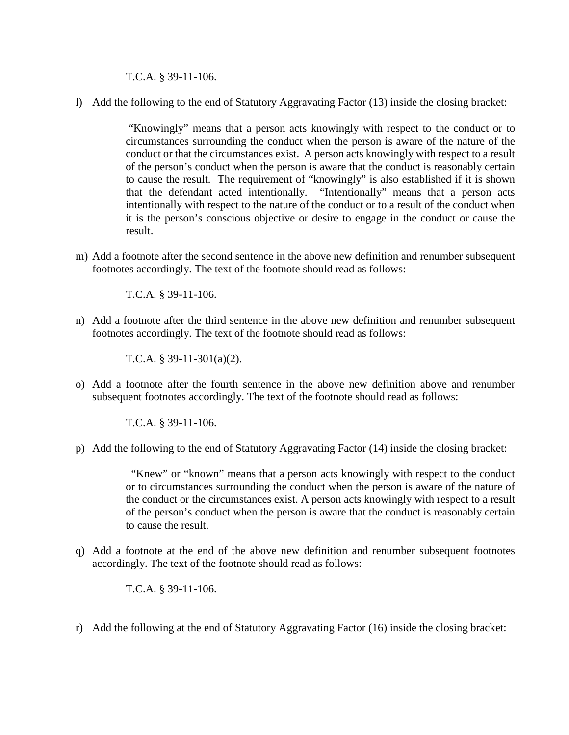T.C.A. § 39-11-106.

l) Add the following to the end of Statutory Aggravating Factor (13) inside the closing bracket:

"Knowingly" means that a person acts knowingly with respect to the conduct or to circumstances surrounding the conduct when the person is aware of the nature of the conduct or that the circumstances exist. A person acts knowingly with respect to a result of the person's conduct when the person is aware that the conduct is reasonably certain to cause the result. The requirement of "knowingly" is also established if it is shown that the defendant acted intentionally. "Intentionally" means that a person acts intentionally with respect to the nature of the conduct or to a result of the conduct when it is the person's conscious objective or desire to engage in the conduct or cause the result.

m) Add a footnote after the second sentence in the above new definition and renumber subsequent footnotes accordingly. The text of the footnote should read as follows:

T.C.A. § 39-11-106.

n) Add a footnote after the third sentence in the above new definition and renumber subsequent footnotes accordingly. The text of the footnote should read as follows:

T.C.A. § 39-11-301(a)(2).

o) Add a footnote after the fourth sentence in the above new definition above and renumber subsequent footnotes accordingly. The text of the footnote should read as follows:

T.C.A. § 39-11-106.

p) Add the following to the end of Statutory Aggravating Factor (14) inside the closing bracket:

"Knew" or "known" means that a person acts knowingly with respect to the conduct or to circumstances surrounding the conduct when the person is aware of the nature of the conduct or the circumstances exist. A person acts knowingly with respect to a result of the person's conduct when the person is aware that the conduct is reasonably certain to cause the result.

q) Add a footnote at the end of the above new definition and renumber subsequent footnotes accordingly. The text of the footnote should read as follows:

T.C.A. § 39-11-106.

r) Add the following at the end of Statutory Aggravating Factor (16) inside the closing bracket: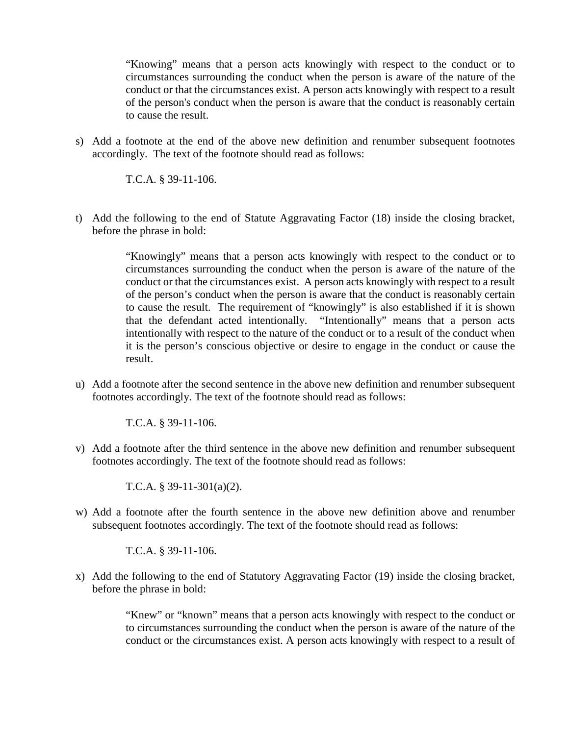"Knowing" means that a person acts knowingly with respect to the conduct or to circumstances surrounding the conduct when the person is aware of the nature of the conduct or that the circumstances exist. A person acts knowingly with respect to a result of the person's conduct when the person is aware that the conduct is reasonably certain to cause the result.

s) Add a footnote at the end of the above new definition and renumber subsequent footnotes accordingly. The text of the footnote should read as follows:

T.C.A. § 39-11-106.

t) Add the following to the end of Statute Aggravating Factor (18) inside the closing bracket, before the phrase in bold:

> "Knowingly" means that a person acts knowingly with respect to the conduct or to circumstances surrounding the conduct when the person is aware of the nature of the conduct or that the circumstances exist. A person acts knowingly with respect to a result of the person's conduct when the person is aware that the conduct is reasonably certain to cause the result. The requirement of "knowingly" is also established if it is shown that the defendant acted intentionally. "Intentionally" means that a person acts intentionally with respect to the nature of the conduct or to a result of the conduct when it is the person's conscious objective or desire to engage in the conduct or cause the result.

u) Add a footnote after the second sentence in the above new definition and renumber subsequent footnotes accordingly. The text of the footnote should read as follows:

T.C.A. § 39-11-106.

v) Add a footnote after the third sentence in the above new definition and renumber subsequent footnotes accordingly. The text of the footnote should read as follows:

T.C.A. § 39-11-301(a)(2).

w) Add a footnote after the fourth sentence in the above new definition above and renumber subsequent footnotes accordingly. The text of the footnote should read as follows:

T.C.A. § 39-11-106.

x) Add the following to the end of Statutory Aggravating Factor (19) inside the closing bracket, before the phrase in bold:

> "Knew" or "known" means that a person acts knowingly with respect to the conduct or to circumstances surrounding the conduct when the person is aware of the nature of the conduct or the circumstances exist. A person acts knowingly with respect to a result of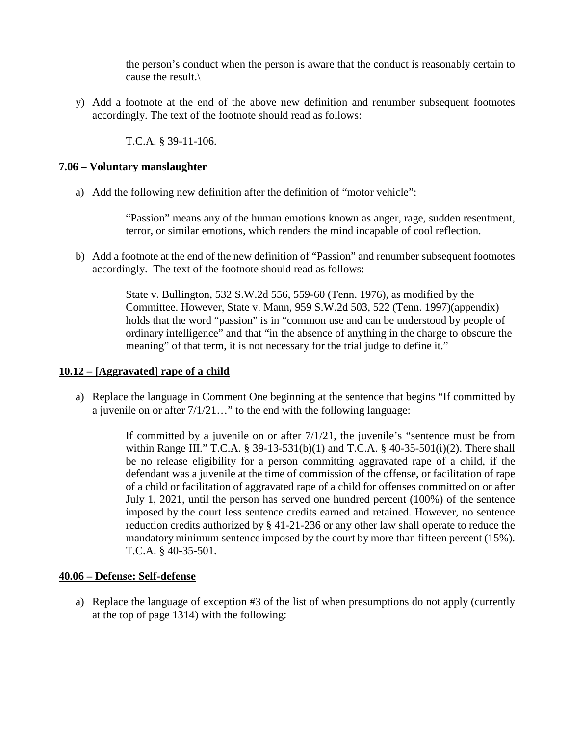the person's conduct when the person is aware that the conduct is reasonably certain to cause the result.\

y) Add a footnote at the end of the above new definition and renumber subsequent footnotes accordingly. The text of the footnote should read as follows:

T.C.A. § 39-11-106.

#### **7.06 – Voluntary manslaughter**

a) Add the following new definition after the definition of "motor vehicle":

"Passion" means any of the human emotions known as anger, rage, sudden resentment, terror, or similar emotions, which renders the mind incapable of cool reflection.

b) Add a footnote at the end of the new definition of "Passion" and renumber subsequent footnotes accordingly. The text of the footnote should read as follows:

> State v. Bullington, 532 S.W.2d 556, 559-60 (Tenn. 1976), as modified by the Committee. However, State v. Mann, 959 S.W.2d 503, 522 (Tenn. 1997)(appendix) holds that the word "passion" is in "common use and can be understood by people of ordinary intelligence" and that "in the absence of anything in the charge to obscure the meaning" of that term, it is not necessary for the trial judge to define it."

#### **10.12 – [Aggravated] rape of a child**

a) Replace the language in Comment One beginning at the sentence that begins "If committed by a juvenile on or after 7/1/21…" to the end with the following language:

> If committed by a juvenile on or after 7/1/21, the juvenile's "sentence must be from within Range III." T.C.A. § 39-13-531(b)(1) and T.C.A. § 40-35-501(i)(2). There shall be no release eligibility for a person committing aggravated rape of a child, if the defendant was a juvenile at the time of commission of the offense, or facilitation of rape of a child or facilitation of aggravated rape of a child for offenses committed on or after July 1, 2021, until the person has served one hundred percent (100%) of the sentence imposed by the court less sentence credits earned and retained. However, no sentence reduction credits authorized by § 41-21-236 or any other law shall operate to reduce the mandatory minimum sentence imposed by the court by more than fifteen percent (15%). T.C.A. § 40-35-501.

#### **40.06 – Defense: Self-defense**

a) Replace the language of exception #3 of the list of when presumptions do not apply (currently at the top of page 1314) with the following: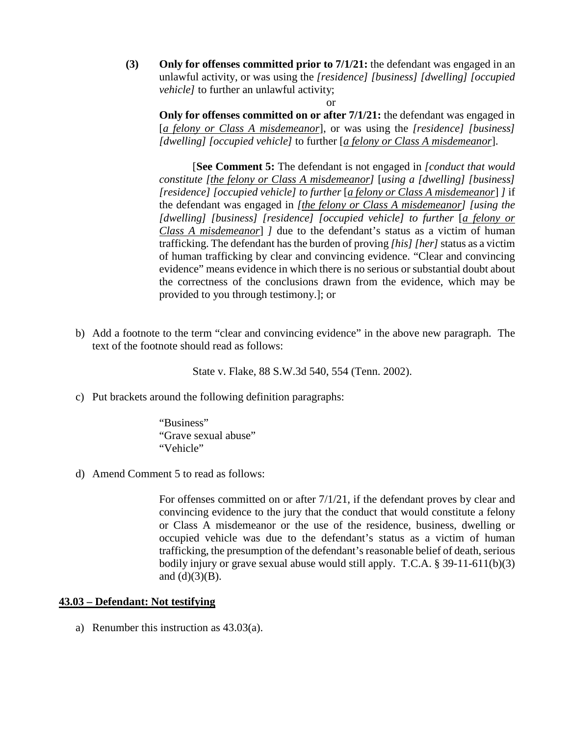**(3) Only for offenses committed prior to 7/1/21:** the defendant was engaged in an unlawful activity, or was using the *[residence] [business] [dwelling] [occupied vehicle]* to further an unlawful activity;

or **Only for offenses committed on or after 7/1/21:** the defendant was engaged in [*a felony or Class A misdemeanor*], or was using the *[residence] [business] [dwelling] [occupied vehicle]* to further [*a felony or Class A misdemeanor*].

[**See Comment 5:** The defendant is not engaged in *[conduct that would constitute [the felony or Class A misdemeanor]* [*using a [dwelling] [business] [residence] [occupied vehicle] to further* [*a felony or Class A misdemeanor*] *]* if the defendant was engaged in *[the felony or Class A misdemeanor] [using the*  [dwelling] [business] [residence] [occupied vehicle] to further [a felony or *Class A misdemeanor*] *]* due to the defendant's status as a victim of human trafficking. The defendant has the burden of proving *[his] [her]* status as a victim of human trafficking by clear and convincing evidence. "Clear and convincing evidence" means evidence in which there is no serious or substantial doubt about the correctness of the conclusions drawn from the evidence, which may be provided to you through testimony.]; or

b) Add a footnote to the term "clear and convincing evidence" in the above new paragraph. The text of the footnote should read as follows:

State v. Flake, 88 S.W.3d 540, 554 (Tenn. 2002).

c) Put brackets around the following definition paragraphs:

"Business" "Grave sexual abuse" "Vehicle"

d) Amend Comment 5 to read as follows:

For offenses committed on or after  $7/1/21$ , if the defendant proves by clear and convincing evidence to the jury that the conduct that would constitute a felony or Class A misdemeanor or the use of the residence, business, dwelling or occupied vehicle was due to the defendant's status as a victim of human trafficking, the presumption of the defendant's reasonable belief of death, serious bodily injury or grave sexual abuse would still apply. T.C.A. § 39-11-611(b)(3) and  $(d)(3)(B)$ .

#### **43.03 – Defendant: Not testifying**

a) Renumber this instruction as 43.03(a).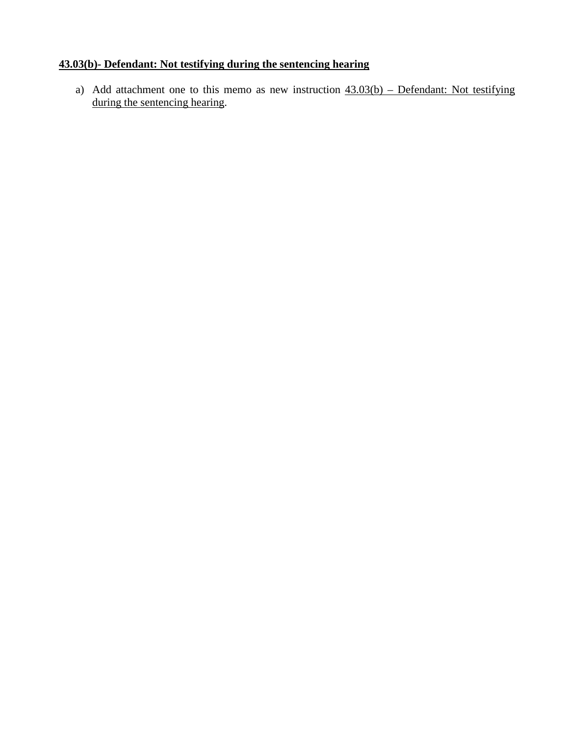### **43.03(b)- Defendant: Not testifying during the sentencing hearing**

a) Add attachment one to this memo as new instruction  $43.03(b)$  – Defendant: Not testifying during the sentencing hearing.